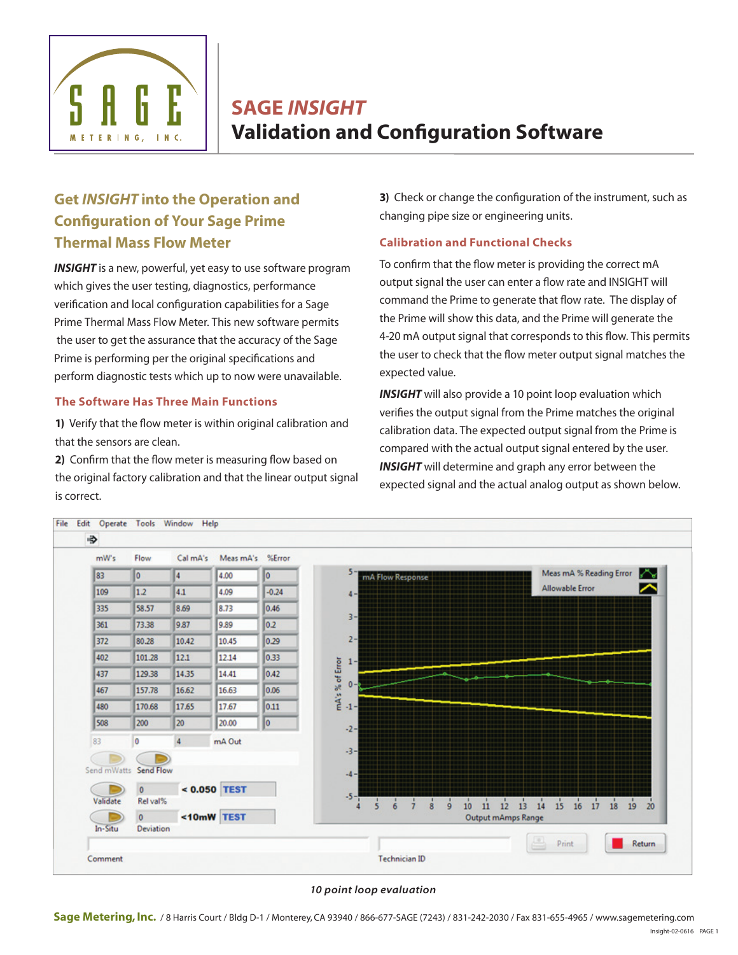

SAGE *INSIGHT*  Validation and Configuration Software

# **Get** *INSIGHT* **into the Operation and Configuration of Your Sage Prime Thermal Mass Flow Meter**

*INSIGHT* is a new, powerful, yet easy to use software program which gives the user testing, diagnostics, performance verification and local configuration capabilities for a Sage Prime Thermal Mass Flow Meter. This new software permits the user to get the assurance that the accuracy of the Sage Prime is performing per the original specifications and perform diagnostic tests which up to now were unavailable.

## **The Software Has Three Main Functions**

**1)** Verify that the flow meter is within original calibration and that the sensors are clean.

**2)** Confirm that the flow meter is measuring flow based on the original factory calibration and that the linear output signal is correct.

**3)** Check or change the configuration of the instrument, such as changing pipe size or engineering units.

# **Calibration and Functional Checks**

To confirm that the flow meter is providing the correct mA output signal the user can enter a flow rate and INSIGHT will command the Prime to generate that flow rate. The display of the Prime will show this data, and the Prime will generate the 4-20 mA output signal that corresponds to this flow. This permits the user to check that the flow meter output signal matches the expected value.

**INSIGHT** will also provide a 10 point loop evaluation which verifies the output signal from the Prime matches the original calibration data. The expected output signal from the Prime is compared with the actual output signal entered by the user. *INSIGHT* will determine and graph any error between the expected signal and the actual analog output as shown below.



#### *10 point loop evaluation*